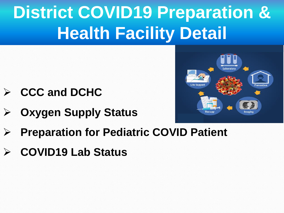# **District COVID19 Preparation & Health Facility Detail**

- ➢ **CCC and DCHC**
- ➢ **Oxygen Supply Status**



- ➢ **Preparation for Pediatric COVID Patient**
- ➢ **COVID19 Lab Status**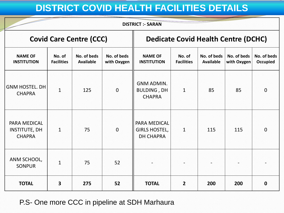## **DISTRICT COVID HEALTH FACILITIES DETAILS**

| <b>DISTRICT :- SARAN</b>                              |                             |                                 |                            |                                                          |                             |                                 |                            |                                |
|-------------------------------------------------------|-----------------------------|---------------------------------|----------------------------|----------------------------------------------------------|-----------------------------|---------------------------------|----------------------------|--------------------------------|
| <b>Covid Care Centre (CCC)</b>                        |                             |                                 |                            | <b>Dedicate Covid Health Centre (DCHC)</b>               |                             |                                 |                            |                                |
| <b>NAME OF</b><br><b>INSTITUTION</b>                  | No. of<br><b>Facilities</b> | No. of beds<br><b>Available</b> | No. of beds<br>with Oxygen | <b>NAME OF</b><br><b>INSTITUTION</b>                     | No. of<br><b>Facilities</b> | No. of beds<br><b>Available</b> | No. of beds<br>with Oxygen | No. of beds<br><b>Occupied</b> |
| <b>GNM HOSTEL. DH</b><br><b>CHAPRA</b>                | $\mathbf{1}$                | 125                             | $\mathbf{0}$               | <b>GNM ADMIN.</b><br><b>BULDING, DH</b><br><b>CHAPRA</b> | $\mathbf{1}$                | 85                              | 85                         | $\mathbf 0$                    |
| PARA MEDICAL<br><b>INSTITUTE, DH</b><br><b>CHAPRA</b> | $\mathbf{1}$                | 75                              | $\overline{0}$             | PARA MEDICAL<br><b>GIRLS HOSTEL,</b><br><b>DH CHAPRA</b> | 1                           | 115                             | 115                        | $\mathbf 0$                    |
| ANM SCHOOL,<br><b>SONPUR</b>                          | $\mathbf{1}$                | 75                              | 52                         |                                                          |                             |                                 |                            |                                |
| <b>TOTAL</b>                                          | $\overline{\mathbf{3}}$     | 275                             | 52                         | <b>TOTAL</b>                                             | $\overline{2}$              | 200                             | 200                        | $\mathbf 0$                    |

P.S- One more CCC in pipeline at SDH Marhaura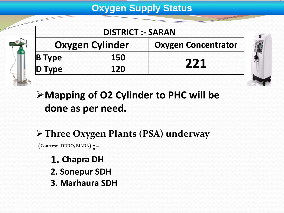### **Oxygen Supply Status**

|            | <b>DISTRICT :- SARAN</b> |                            |  |
|------------|--------------------------|----------------------------|--|
|            | <b>Oxygen Cylinder</b>   | <b>Oxygen Concentrator</b> |  |
| $ B $ Type | 150                      |                            |  |
| Type       | 120                      | 771                        |  |



➢**Mapping of O2 Cylinder to PHC will be done as per need.**

## ➢**Three Oxygen Plants (PSA) underway**

**(Courtesy –DRDO, BIADA):-**

- **1. Chapra DH 2. Sonepur SDH**
- **3. Marhaura SDH**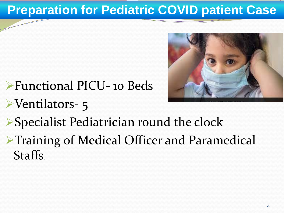## **Preparation for Pediatric COVID patient Case**



- ➢Functional PICU- 10 Beds ➢Ventilators- 5
- ➢Specialist Pediatrician round the clock
- ➢Training of Medical Officer and Paramedical Staffs.